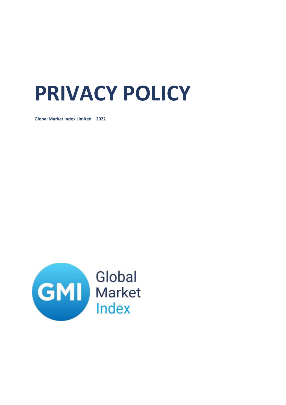# **PRIVACY POLICY**

**Global Market Index Limited – 2022**

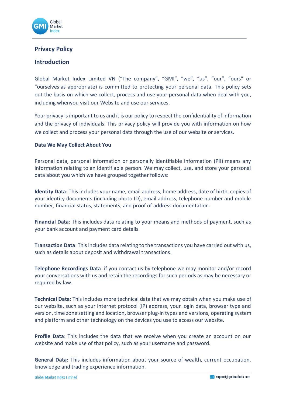

# **Privacy Policy**

# **Introduction**

Global Market Index Limited VN ("The company", "GMI", "we", "us", "our", "ours" or "ourselves as appropriate) is committed to protecting your personal data. This policy sets out the basis on which we collect, process and use your personal data when deal with you, including whenyou visit our Website and use our services.

Your privacy is important to us and it is our policy to respect the confidentiality of information and the privacy of individuals. This privacy policy will provide you with information on how we collect and process your personal data through the use of our website or services.

# **Data We May Collect About You**

Personal data, personal information or personally identifiable information (PII) means any information relating to an identifiable person. We may collect, use, and store your personal data about you which we have grouped together follows:

**Identity Data**: This includes your name, email address, home address, date of birth, copies of your identity documents (including photo ID), email address, telephone number and mobile number, financial status, statements, and proof of address documentation.

**Financial Data**: This includes data relating to your means and methods of payment, such as your bank account and payment card details.

**Transaction Data**: This includes data relating to the transactions you have carried out with us, such as details about deposit and withdrawal transactions.

**Telephone Recordings Data**: if you contact us by telephone we may monitor and/or record your conversations with us and retain the recordings forsuch periods as may be necessary or required by law.

**Technical Data**: This includes more technical data that we may obtain when you make use of our website, such as your internet protocol (IP) address, your login data, browser type and version, time zone setting and location, browser plug-in types and versions, operating system and platform and other technology on the devices you use to access our website.

**Profile Data**: This includes the data that we receive when you create an account on our website and make use of that policy, such as your username and password.

**General Data:** This includes information about your source of wealth, current occupation, knowledge and trading experience information.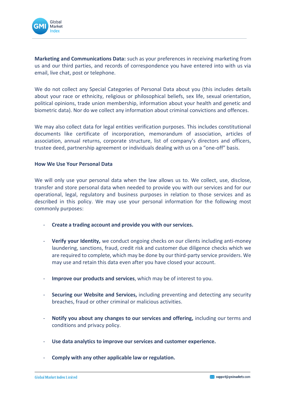

**Marketing and Communications Data:** such as your preferences in receiving marketing from us and our third parties, and records of correspondence you have entered into with us via email, live chat, post or telephone.

We do not collect any Special Categories of Personal Data about you (this includes details about your race or ethnicity, religious or philosophical beliefs, sex life, sexual orientation, political opinions, trade union membership, information about your health and genetic and biometric data). Nor do we collect any information about criminal convictions and offences.

We may also collect data for legal entities verification purposes. This includes constitutional documents like certificate of incorporation, memorandum of association, articles of association, annual returns, corporate structure, list of company's directors and officers, trustee deed, partnership agreement or individuals dealing with us on a "one-off" basis.

## **How We Use Your Personal Data**

We will only use your personal data when the law allows us to. We collect, use, disclose, transfer and store personal data when needed to provide you with our services and for our operational, legal, regulatory and business purposes in relation to those services and as described in this policy. We may use your personal information for the following most commonly purposes:

- **Create a trading account and provide you with our services.**
- **Verify your Identity,** we conduct ongoing checks on our clients including anti-money laundering, sanctions, fraud, credit risk and customer due diligence checks which we are required to complete, which may be done by ourthird-party service providers. We may use and retain this data even after you have closed your account.
- **Improve our products and services**, which may be of interest to you.
- **Securing our Website and Services,** including preventing and detecting any security breaches, fraud or other criminal or malicious activities.
- **Notify you about any changes to our services and offering, including our terms and** conditions and privacy policy.
- **Use data analytics to improve our services and customer experience.**
- **Comply with any other applicable law or regulation.**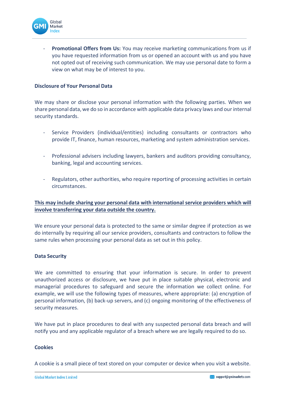

Promotional Offers from Us: You may receive marketing communications from us if you have requested information from us or opened an account with us and you have not opted out of receiving such communication. We may use personal date to form a view on what may be of interest to you.

#### **Disclosure of Your Personal Data**

We may share or disclose your personal information with the following parties. When we share personal data, we do so in accordance with applicable data privacy laws and ourinternal security standards.

- Service Providers (individual/entities) including consultants or contractors who provide IT, finance, human resources, marketing and system administration services.
- Professional advisers including lawyers, bankers and auditors providing consultancy, banking, legal and accounting services.
- Regulators, other authorities, who require reporting of processing activities in certain circumstances.

# **This may include sharing your personal data with international service providers which will involve transferring your data outside the country.**

We ensure your personal data is protected to the same or similar degree if protection as we do internally by requiring all our service providers, consultants and contractors to follow the same rules when processing your personal data as set out in this policy.

#### **Data Security**

We are committed to ensuring that your information is secure. In order to prevent unauthorized access or disclosure, we have put in place suitable physical, electronic and managerial procedures to safeguard and secure the information we collect online. For example, we will use the following types of measures, where appropriate: (a) encryption of personal information, (b) back-up servers, and (c) ongoing monitoring of the effectiveness of security measures.

We have put in place procedures to deal with any suspected personal data breach and will notify you and any applicable regulator of a breach where we are legally required to do so.

#### **Cookies**

A cookie is a small piece of text stored on your computer or device when you visit a website.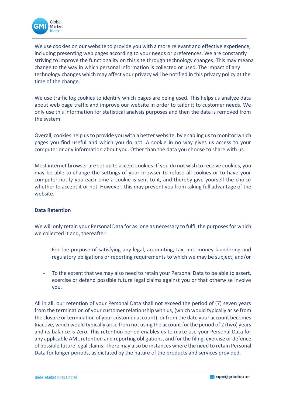

We use cookies on our website to provide you with a more relevant and effective experience, including presenting web pages according to your needs or preferences. We are constantly striving to improve the functionality on this site through technology changes. This may meana change to the way in which personal information is collected or used. The impact of any technology changes which may affect your privacy will be notified in this privacy policy at the time of the change.

We use traffic log cookies to identify which pages are being used. This helps us analyze data about web page traffic and improve our website in order to tailor it to customer needs. We only use this information for statistical analysis purposes and then the data is removed from the system.

Overall, cookies help us to provide you with a better website, by enabling us to monitor which pages you find useful and which you do not. A cookie in no way gives us access to your computer or any information about you. Other than the data you choose to share with us.

Most internet browser are set up to accept cookies. If you do not wish to receive cookies, you may be able to change the settings of your browser to refuse all cookies or to have your computer notify you each time a cookie is sent to it, and thereby give yourself the choice whether to accept it or not. However, this may prevent you from taking full advantage of the website.

## **Data Retention**

We will only retain your Personal Data for as long as necessary to fulfil the purposes for which we collected it and, thereafter:

- For the purpose of satisfying any legal, accounting, tax, anti-money laundering and regulatory obligations or reporting requirements to which we may be subject; and/or
- To the extent that we may also need to retain your Personal Data to be able to assert, exercise or defend possible future legal claims against you or that otherwise involve you.

All in all, our retention of your Personal Data shall not exceed the period of (7) seven years from the termination of your customer relationship with us, (which would typically arise from the closure ortermination of your customer account); or from the date your account becomes Inactive, which would typically arise from not using the account for the period of 2 (two) years and its balance is Zero. This retention period enables us to make use your Personal Data for any applicable AML retention and reporting obligations, and for the filing, exercise or defence of possible future legal claims. There may also be instances where the need to retain Personal Data for longer periods, as dictated by the nature of the products and services provided.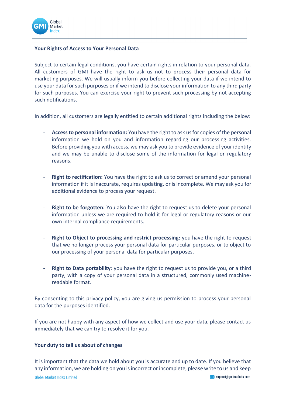

# **Your Rights of Access to Your Personal Data**

Subject to certain legal conditions, you have certain rights in relation to your personal data. All customers of GMI have the right to ask us not to process their personal data for marketing purposes. We will usually inform you before collecting your data if we intend to use your data forsuch purposes or if we intend to disclose your information to any third party for such purposes. You can exercise your right to prevent such processing by not accepting such notifications.

In addition, all customers are legally entitled to certain additional rights including the below:

- **Access to personal information:** You have the right to ask us for copies of the personal information we hold on you and information regarding our processing activities. Before providing you with access, we may ask you to provide evidence of your identity and we may be unable to disclose some of the information for legal or regulatory reasons.
- Right to rectification: You have the right to ask us to correct or amend your personal information if it is inaccurate, requires updating, or is incomplete. We may ask you for additional evidence to process your request.
- **Right to be forgotten:** You also have the right to request us to delete your personal information unless we are required to hold it for legal or regulatory reasons or our own internal compliance requirements.
- **Right to Object to processing and restrict processing:** you have the right to request that we no longer process your personal data for particular purposes, or to object to our processing of your personal data for particular purposes.
- **Right to Data portability**: you have the right to request us to provide you, or a third party, with a copy of your personal data in a structured, commonly used machinereadable format.

By consenting to this privacy policy, you are giving us permission to process your personal data for the purposes identified.

If you are not happy with any aspect of how we collect and use your data, please contact us immediately that we can try to resolve it for you.

## **Your duty to tell us about of changes**

It is important that the data we hold about you is accurate and up to date. If you believe that any information, we are holding on you is incorrect or incomplete, please write to us and keep